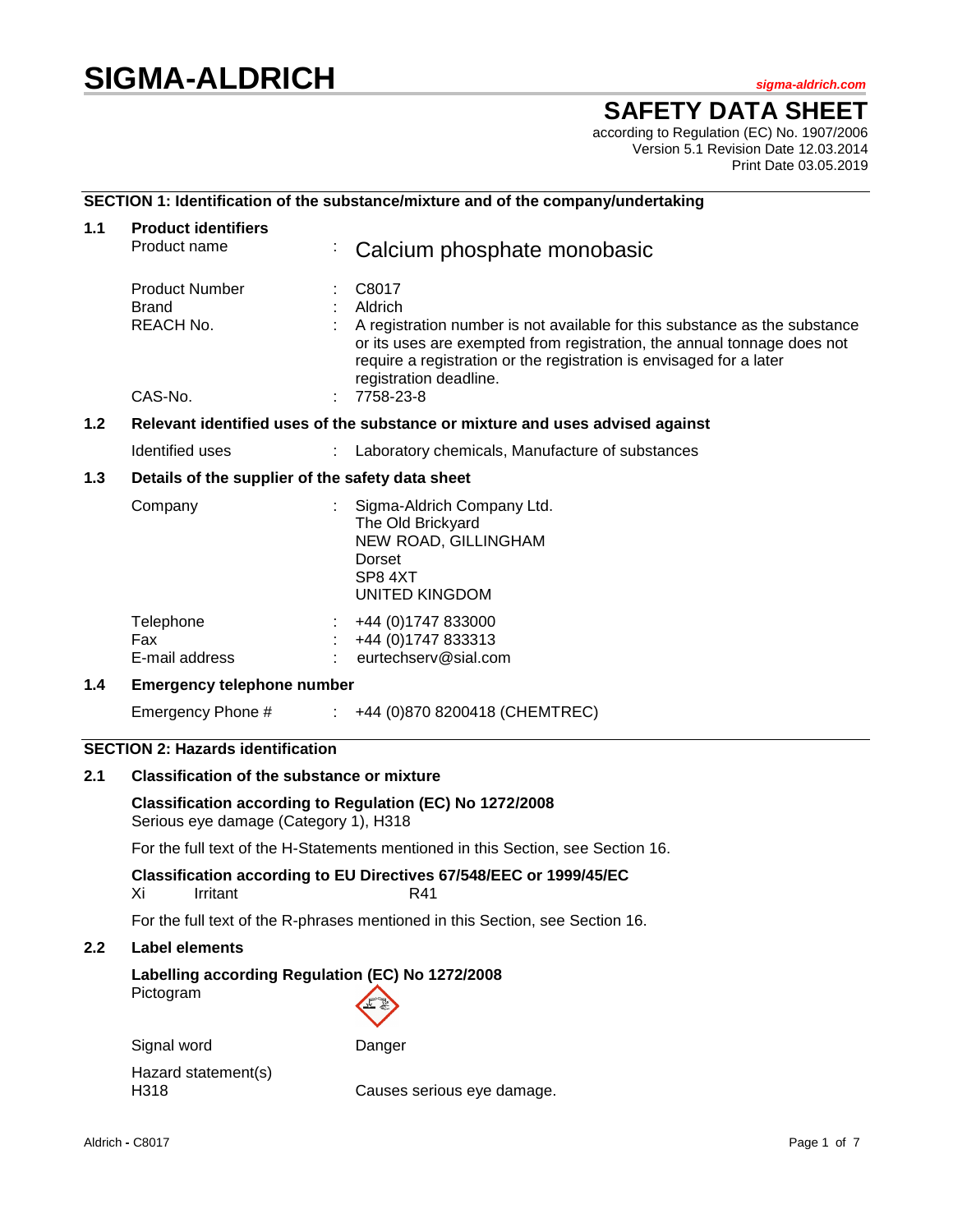# **SIGMA-ALDRICH** *sigma-aldrich.com*

**SAFETY DATA SHEET**

according to Regulation (EC) No. 1907/2006 Version 5.1 Revision Date 12.03.2014 Print Date 03.05.2019

# **SECTION 1: Identification of the substance/mixture and of the company/undertaking**

| 1.1                                                                                  | <b>Product identifiers</b><br>Product name                                                        |  | Calcium phosphate monobasic                                                                                                                                                                                                                                                             |  |
|--------------------------------------------------------------------------------------|---------------------------------------------------------------------------------------------------|--|-----------------------------------------------------------------------------------------------------------------------------------------------------------------------------------------------------------------------------------------------------------------------------------------|--|
|                                                                                      | <b>Product Number</b><br><b>Brand</b><br>REACH No.<br>CAS-No.                                     |  | C8017<br>Aldrich<br>A registration number is not available for this substance as the substance<br>or its uses are exempted from registration, the annual tonnage does not<br>require a registration or the registration is envisaged for a later<br>registration deadline.<br>7758-23-8 |  |
| 1.2<br>Relevant identified uses of the substance or mixture and uses advised against |                                                                                                   |  |                                                                                                                                                                                                                                                                                         |  |
|                                                                                      | Identified uses                                                                                   |  | Laboratory chemicals, Manufacture of substances                                                                                                                                                                                                                                         |  |
| 1.3<br>Details of the supplier of the safety data sheet                              |                                                                                                   |  |                                                                                                                                                                                                                                                                                         |  |
|                                                                                      | Company                                                                                           |  | Sigma-Aldrich Company Ltd.<br>The Old Brickyard<br>NEW ROAD, GILLINGHAM<br>Dorset<br>SP8 4XT<br>UNITED KINGDOM                                                                                                                                                                          |  |
|                                                                                      | Telephone<br><b>Fax</b><br>E-mail address                                                         |  | +44 (0)1747 833000<br>+44 (0) 1747 833313<br>$:$ eurtechserv@sial.com                                                                                                                                                                                                                   |  |
| 1.4<br><b>Emergency telephone number</b>                                             |                                                                                                   |  |                                                                                                                                                                                                                                                                                         |  |
|                                                                                      |                                                                                                   |  | Emergency Phone # : +44 (0)870 8200418 (CHEMTREC)                                                                                                                                                                                                                                       |  |
|                                                                                      | <b>SECTION 2: Hazards identification</b>                                                          |  |                                                                                                                                                                                                                                                                                         |  |
| 2.1                                                                                  | <b>Classification of the substance or mixture</b>                                                 |  |                                                                                                                                                                                                                                                                                         |  |
|                                                                                      | Classification according to Regulation (EC) No 1272/2008<br>Serious eye damage (Category 1), H318 |  |                                                                                                                                                                                                                                                                                         |  |

For the full text of the H-Statements mentioned in this Section, see Section 16.

**Classification according to EU Directives 67/548/EEC or 1999/45/EC** Xi Irritant R41

For the full text of the R-phrases mentioned in this Section, see Section 16.

# **2.2 Label elements**

# **Labelling according Regulation (EC) No 1272/2008**

Pictogram

Signal word Danger Hazard statement(s) H318 Causes serious eye damage.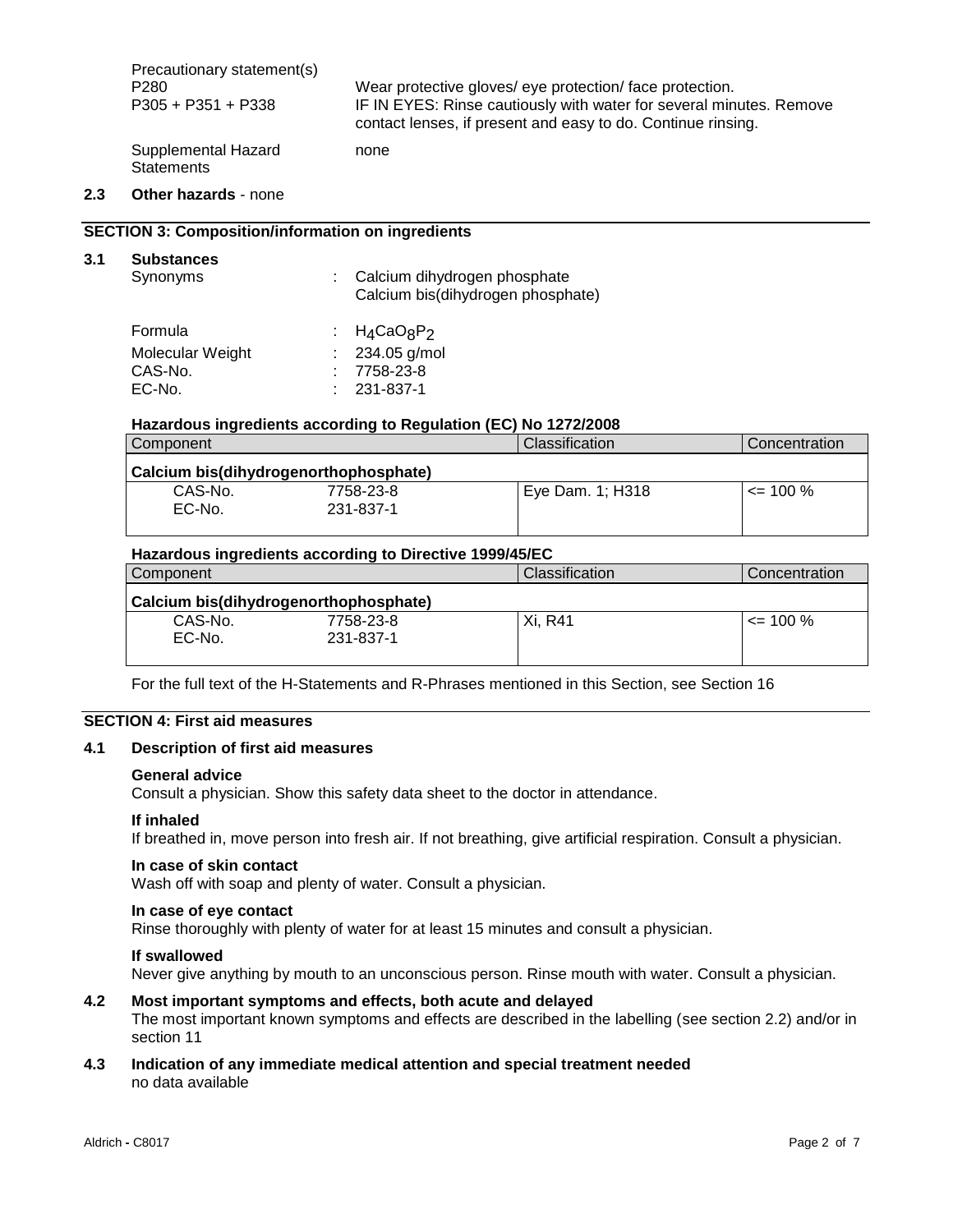Precautionary statement(s) P280 Wear protective gloves/ eye protection/ face protection.<br>P305 + P351 + P338 IF IN EYES: Rinse cautiously with water for several min IF IN EYES: Rinse cautiously with water for several minutes. Remove contact lenses, if present and easy to do. Continue rinsing. Supplemental Hazard **Statements** none

# **2.3 Other hazards** - none

**3.1 Substances**

# **SECTION 3: Composition/information on ingredients**

| <b>Substances</b><br>Synonyms | Calcium dihydrogen phosphate<br>Calcium bis(dihydrogen phosphate) |
|-------------------------------|-------------------------------------------------------------------|
| Formula                       | : $H_4$ CaO <sub>8</sub> P <sub>2</sub>                           |
| Molecular Weight              | : $234.05$ g/mol                                                  |
| CAS-No.                       | 7758-23-8                                                         |
| EC-No.                        | 231-837-1                                                         |

#### **Hazardous ingredients according to Regulation (EC) No 1272/2008**

| Component                             |           | Classification   | Concentration |
|---------------------------------------|-----------|------------------|---------------|
| Calcium bis(dihydrogenorthophosphate) |           |                  |               |
| CAS-No.                               | 7758-23-8 | Eye Dam. 1; H318 | $\leq$ 100 %  |
| EC-No.                                | 231-837-1 |                  |               |
|                                       |           |                  |               |

#### **Hazardous ingredients according to Directive 1999/45/EC**

| Component                             |           | Classification | Concentration |
|---------------------------------------|-----------|----------------|---------------|
| Calcium bis(dihydrogenorthophosphate) |           |                |               |
| CAS-No.                               | 7758-23-8 | Xi. R41        | $\leq$ 100 %  |
| EC-No.                                | 231-837-1 |                |               |
|                                       |           |                |               |

For the full text of the H-Statements and R-Phrases mentioned in this Section, see Section 16

# **SECTION 4: First aid measures**

# **4.1 Description of first aid measures**

#### **General advice**

Consult a physician. Show this safety data sheet to the doctor in attendance.

#### **If inhaled**

If breathed in, move person into fresh air. If not breathing, give artificial respiration. Consult a physician.

#### **In case of skin contact**

Wash off with soap and plenty of water. Consult a physician.

#### **In case of eye contact**

Rinse thoroughly with plenty of water for at least 15 minutes and consult a physician.

#### **If swallowed**

Never give anything by mouth to an unconscious person. Rinse mouth with water. Consult a physician.

# **4.2 Most important symptoms and effects, both acute and delayed**

The most important known symptoms and effects are described in the labelling (see section 2.2) and/or in section 11

# **4.3 Indication of any immediate medical attention and special treatment needed** no data available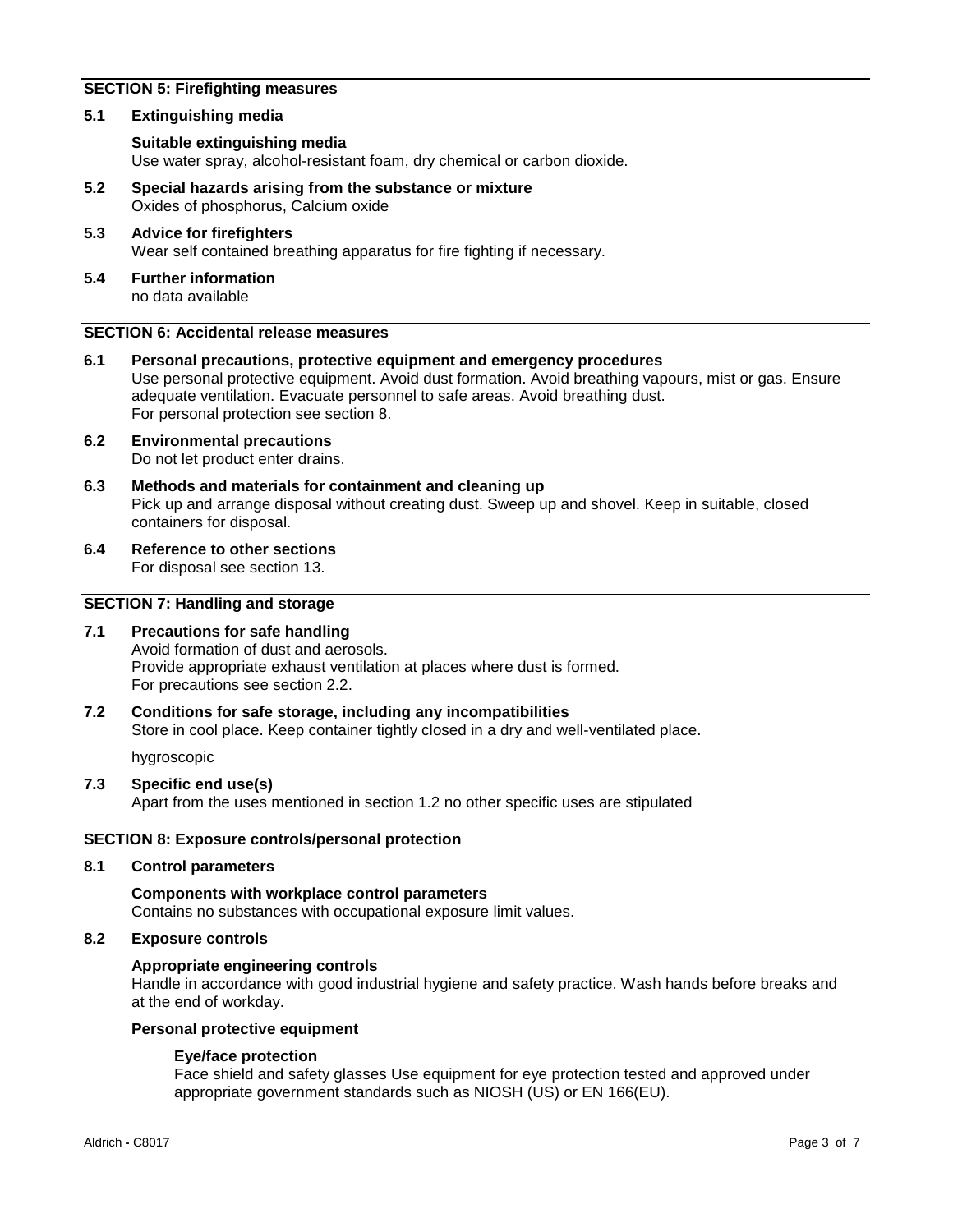# **SECTION 5: Firefighting measures**

#### **5.1 Extinguishing media**

#### **Suitable extinguishing media**

Use water spray, alcohol-resistant foam, dry chemical or carbon dioxide.

- **5.2 Special hazards arising from the substance or mixture** Oxides of phosphorus, Calcium oxide
- **5.3 Advice for firefighters** Wear self contained breathing apparatus for fire fighting if necessary.
- **5.4 Further information** no data available

# **SECTION 6: Accidental release measures**

- **6.1 Personal precautions, protective equipment and emergency procedures** Use personal protective equipment. Avoid dust formation. Avoid breathing vapours, mist or gas. Ensure adequate ventilation. Evacuate personnel to safe areas. Avoid breathing dust. For personal protection see section 8.
- **6.2 Environmental precautions** Do not let product enter drains.
- **6.3 Methods and materials for containment and cleaning up** Pick up and arrange disposal without creating dust. Sweep up and shovel. Keep in suitable, closed containers for disposal.
- **6.4 Reference to other sections** For disposal see section 13.

# **SECTION 7: Handling and storage**

#### **7.1 Precautions for safe handling**

Avoid formation of dust and aerosols. Provide appropriate exhaust ventilation at places where dust is formed. For precautions see section 2.2.

#### **7.2 Conditions for safe storage, including any incompatibilities**

Store in cool place. Keep container tightly closed in a dry and well-ventilated place.

hygroscopic

#### **7.3 Specific end use(s)**

Apart from the uses mentioned in section 1.2 no other specific uses are stipulated

### **SECTION 8: Exposure controls/personal protection**

#### **8.1 Control parameters**

#### **Components with workplace control parameters**

Contains no substances with occupational exposure limit values.

#### **8.2 Exposure controls**

#### **Appropriate engineering controls**

Handle in accordance with good industrial hygiene and safety practice. Wash hands before breaks and at the end of workday.

#### **Personal protective equipment**

#### **Eye/face protection**

Face shield and safety glasses Use equipment for eye protection tested and approved under appropriate government standards such as NIOSH (US) or EN 166(EU).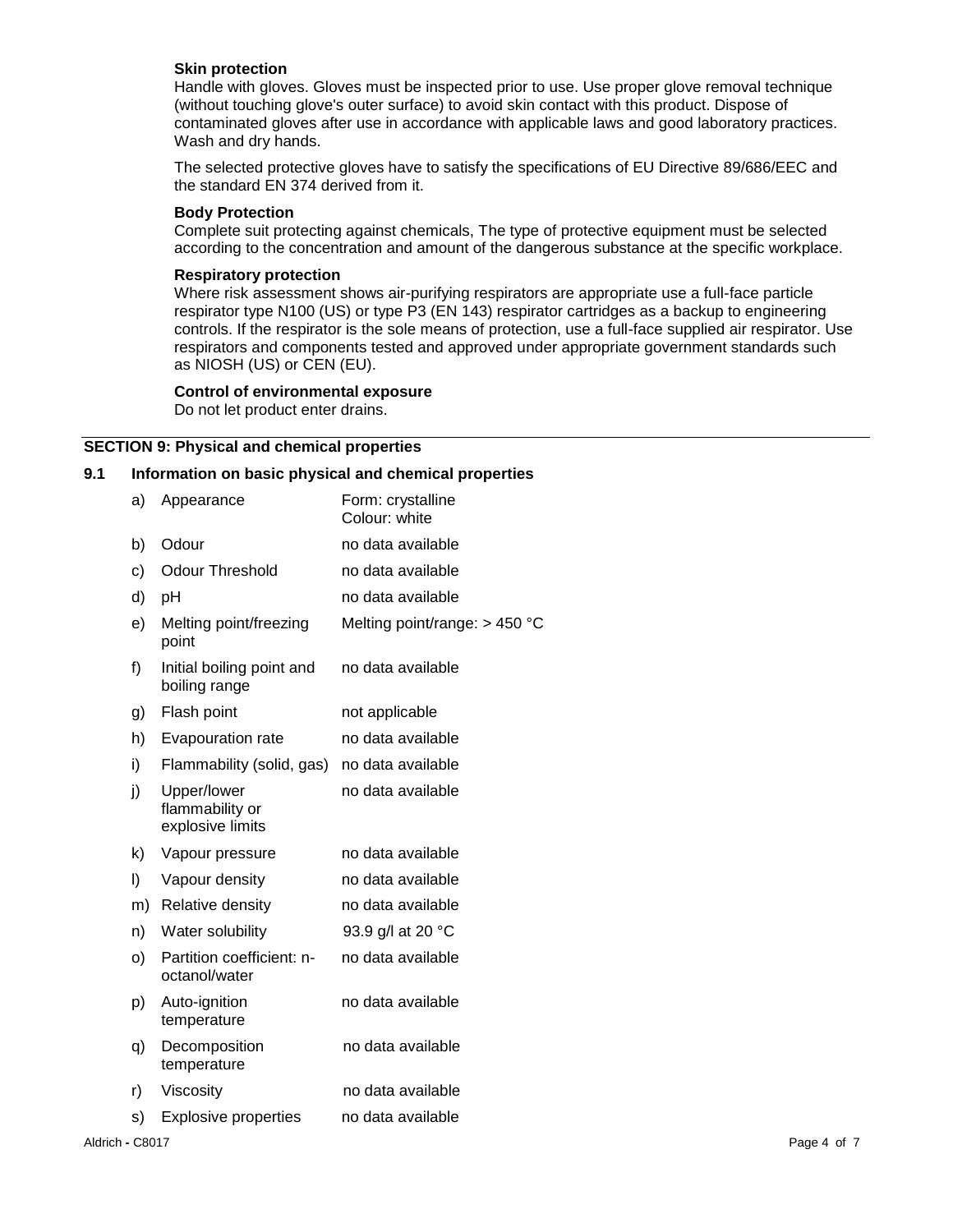#### **Skin protection**

Handle with gloves. Gloves must be inspected prior to use. Use proper glove removal technique (without touching glove's outer surface) to avoid skin contact with this product. Dispose of contaminated gloves after use in accordance with applicable laws and good laboratory practices. Wash and dry hands.

The selected protective gloves have to satisfy the specifications of EU Directive 89/686/EEC and the standard EN 374 derived from it.

#### **Body Protection**

Complete suit protecting against chemicals, The type of protective equipment must be selected according to the concentration and amount of the dangerous substance at the specific workplace.

#### **Respiratory protection**

Where risk assessment shows air-purifying respirators are appropriate use a full-face particle respirator type N100 (US) or type P3 (EN 143) respirator cartridges as a backup to engineering controls. If the respirator is the sole means of protection, use a full-face supplied air respirator. Use respirators and components tested and approved under appropriate government standards such as NIOSH (US) or CEN (EU).

#### **Control of environmental exposure**

Do not let product enter drains.

#### **SECTION 9: Physical and chemical properties**

# **9.1 Information on basic physical and chemical properties**

| a) | Appearance                                         | Form: crystalline<br>Colour: white |
|----|----------------------------------------------------|------------------------------------|
| b) | Odour                                              | no data available                  |
| c) | <b>Odour Threshold</b>                             | no data available                  |
| d) | рH                                                 | no data available                  |
| e) | Melting point/freezing<br>point                    | Melting point/range: > 450 °C      |
| f) | Initial boiling point and<br>boiling range         | no data available                  |
| g) | Flash point                                        | not applicable                     |
| h) | Evapouration rate                                  | no data available                  |
| i) | Flammability (solid, gas)                          | no data available                  |
| j) | Upper/lower<br>flammability or<br>explosive limits | no data available                  |
| k) | Vapour pressure                                    | no data available                  |
| I) | Vapour density                                     | no data available                  |
| m) | <b>Relative density</b>                            | no data available                  |
| n) | Water solubility                                   | 93.9 g/l at 20 °C                  |
| O) | Partition coefficient: n-<br>octanol/water         | no data available                  |
| p) | Auto-ignition<br>temperature                       | no data available                  |
| q) | Decomposition<br>temperature                       | no data available                  |
| r) | Viscosity                                          | no data available                  |
| s) | <b>Explosive properties</b>                        | no data available                  |
|    |                                                    |                                    |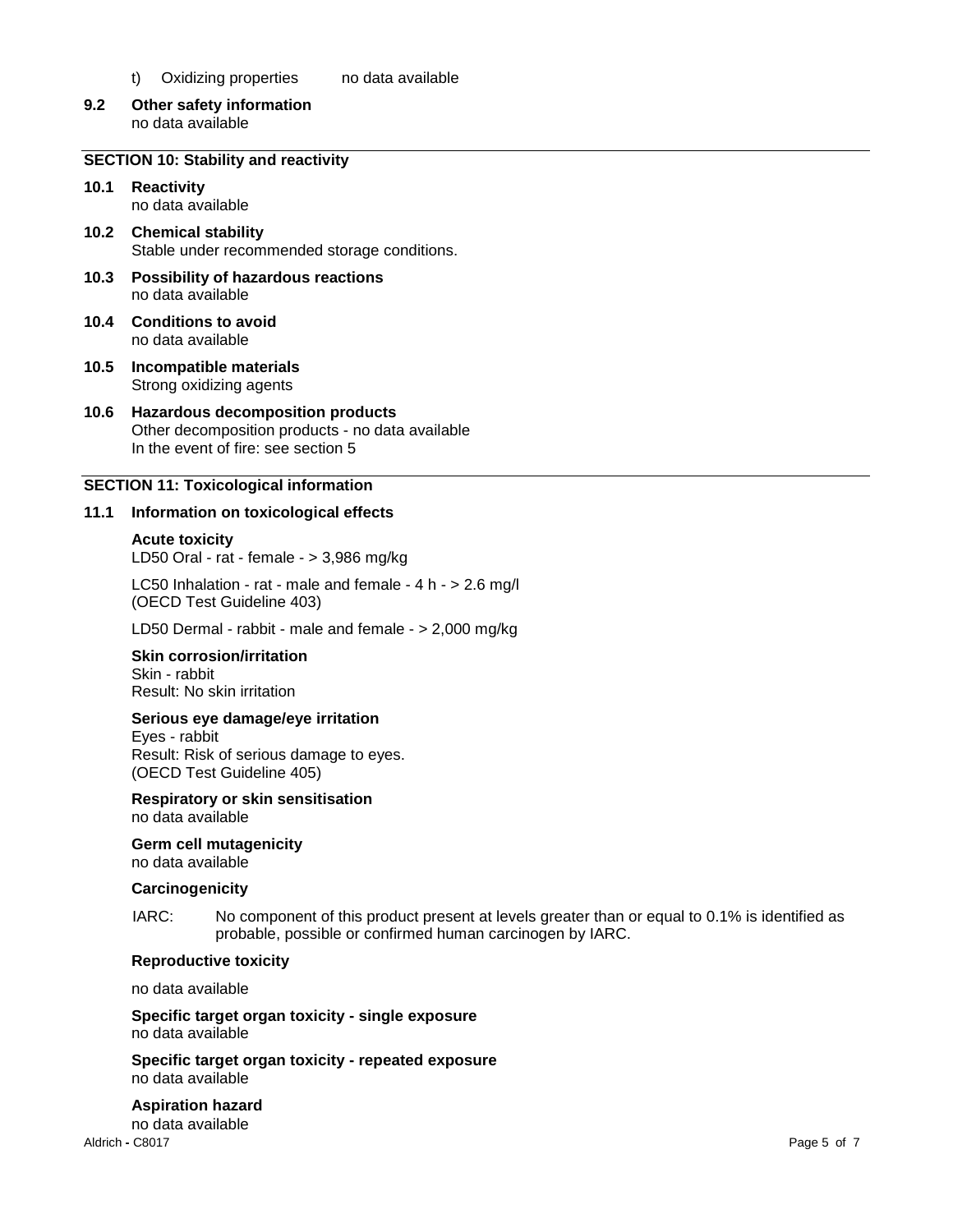- t) Oxidizing properties no data available
- **9.2 Other safety information** no data available

# **SECTION 10: Stability and reactivity**

- **10.1 Reactivity** no data available
- **10.2 Chemical stability** Stable under recommended storage conditions.
- **10.3 Possibility of hazardous reactions** no data available
- **10.4 Conditions to avoid** no data available
- **10.5 Incompatible materials** Strong oxidizing agents

#### **10.6 Hazardous decomposition products** Other decomposition products - no data available In the event of fire: see section 5

# **SECTION 11: Toxicological information**

#### **11.1 Information on toxicological effects**

#### **Acute toxicity**

LD50 Oral - rat - female - > 3,986 mg/kg

LC50 Inhalation - rat - male and female - 4 h - > 2.6 mg/l (OECD Test Guideline 403)

LD50 Dermal - rabbit - male and female - > 2,000 mg/kg

#### **Skin corrosion/irritation**

Skin - rabbit Result: No skin irritation

# **Serious eye damage/eye irritation**

Eyes - rabbit Result: Risk of serious damage to eyes. (OECD Test Guideline 405)

# **Respiratory or skin sensitisation**

no data available

# **Germ cell mutagenicity**

no data available

#### **Carcinogenicity**

IARC: No component of this product present at levels greater than or equal to 0.1% is identified as probable, possible or confirmed human carcinogen by IARC.

#### **Reproductive toxicity**

no data available

**Specific target organ toxicity - single exposure** no data available

**Specific target organ toxicity - repeated exposure** no data available

#### **Aspiration hazard** no data available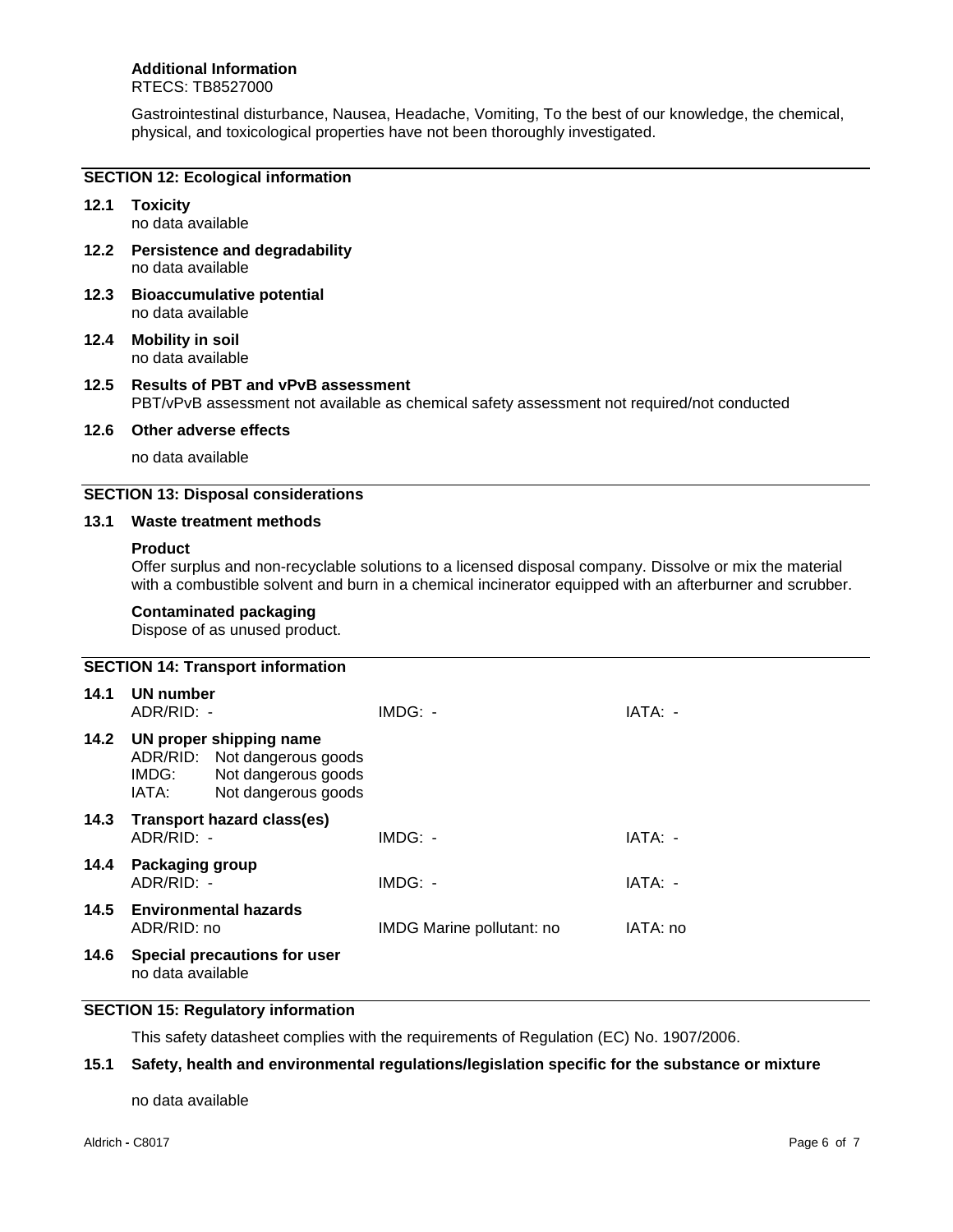# **Additional Information**

# RTECS: TB8527000

Gastrointestinal disturbance, Nausea, Headache, Vomiting, To the best of our knowledge, the chemical, physical, and toxicological properties have not been thoroughly investigated.

#### **SECTION 12: Ecological information**

# **12.1 Toxicity**

no data available

- **12.2 Persistence and degradability** no data available
- **12.3 Bioaccumulative potential** no data available
- **12.4 Mobility in soil** no data available

# **12.5 Results of PBT and vPvB assessment** PBT/vPvB assessment not available as chemical safety assessment not required/not conducted

#### **12.6 Other adverse effects**

no data available

# **SECTION 13: Disposal considerations**

#### **13.1 Waste treatment methods**

#### **Product**

Offer surplus and non-recyclable solutions to a licensed disposal company. Dissolve or mix the material with a combustible solvent and burn in a chemical incinerator equipped with an afterburner and scrubber.

# **Contaminated packaging**

Dispose of as unused product.

| <b>SECTION 14: Transport information</b> |                               |                                                                                                       |                           |          |
|------------------------------------------|-------------------------------|-------------------------------------------------------------------------------------------------------|---------------------------|----------|
| 14.1                                     | UN number<br>ADR/RID: -       |                                                                                                       | IMDG: -                   | IATA: -  |
| 14.2                                     | IMDG:<br>IATA:                | UN proper shipping name<br>ADR/RID: Not dangerous goods<br>Not dangerous goods<br>Not dangerous goods |                           |          |
| 14.3                                     | ADR/RID: -                    | <b>Transport hazard class(es)</b>                                                                     | $IMDG: -$                 | IATA: -  |
| 14.4                                     | Packaging group<br>ADR/RID: - |                                                                                                       | IMDG: -                   | IATA: -  |
| 14.5                                     | ADR/RID: no                   | <b>Environmental hazards</b>                                                                          | IMDG Marine pollutant: no | IATA: no |
| 14.6                                     | no data available             | Special precautions for user                                                                          |                           |          |

# **SECTION 15: Regulatory information**

This safety datasheet complies with the requirements of Regulation (EC) No. 1907/2006.

# **15.1 Safety, health and environmental regulations/legislation specific for the substance or mixture**

no data available